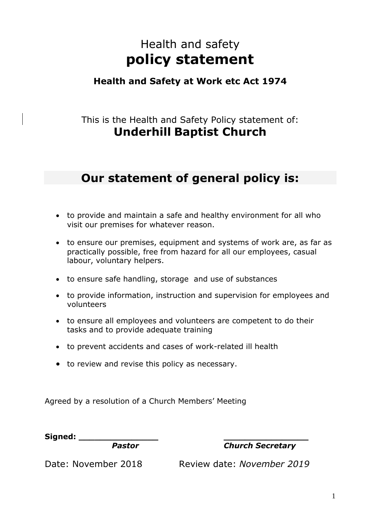# Health and safety **policy statement**

## **Health and Safety at Work etc Act 1974**

## This is the Health and Safety Policy statement of: **Underhill Baptist Church**

## **Our statement of general policy is:**

- to provide and maintain a safe and healthy environment for all who visit our premises for whatever reason.
- to ensure our premises, equipment and systems of work are, as far as practically possible, free from hazard for all our employees, casual labour, voluntary helpers.
- to ensure safe handling, storage and use of substances
- to provide information, instruction and supervision for employees and volunteers
- to ensure all employees and volunteers are competent to do their tasks and to provide adequate training
- to prevent accidents and cases of work-related ill health
- to review and revise this policy as necessary.

Agreed by a resolution of a Church Members' Meeting

**Signed: \_\_\_\_\_\_\_\_\_\_\_\_\_\_\_ \_\_\_\_\_\_\_\_\_\_\_\_\_\_\_\_** 

*Pastor Church Secretary*

Date: November 2018 Review date: *November 2019*

1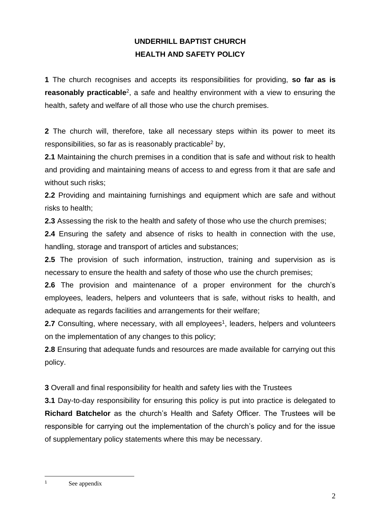### **UNDERHILL BAPTIST CHURCH HEALTH AND SAFETY POLICY**

**1** The church recognises and accepts its responsibilities for providing, **so far as is reasonably practicable**<sup>2</sup>, a safe and healthy environment with a view to ensuring the health, safety and welfare of all those who use the church premises.

**2** The church will, therefore, take all necessary steps within its power to meet its responsibilities, so far as is reasonably practicable<sup>2</sup> by,

**2.1** Maintaining the church premises in a condition that is safe and without risk to health and providing and maintaining means of access to and egress from it that are safe and without such risks;

**2.2** Providing and maintaining furnishings and equipment which are safe and without risks to health;

**2.3** Assessing the risk to the health and safety of those who use the church premises;

**2.4** Ensuring the safety and absence of risks to health in connection with the use, handling, storage and transport of articles and substances;

**2.5** The provision of such information, instruction, training and supervision as is necessary to ensure the health and safety of those who use the church premises;

**2.6** The provision and maintenance of a proper environment for the church's employees, leaders, helpers and volunteers that is safe, without risks to health, and adequate as regards facilities and arrangements for their welfare;

2.7 Consulting, where necessary, with all employees<sup>1</sup>, leaders, helpers and volunteers on the implementation of any changes to this policy;

**2.8** Ensuring that adequate funds and resources are made available for carrying out this policy.

**3** Overall and final responsibility for health and safety lies with the Trustees

**3.1** Day-to-day responsibility for ensuring this policy is put into practice is delegated to **Richard Batchelor** as the church's Health and Safety Officer. The Trustees will be responsible for carrying out the implementation of the church's policy and for the issue of supplementary policy statements where this may be necessary.

<sup>1</sup> See appendix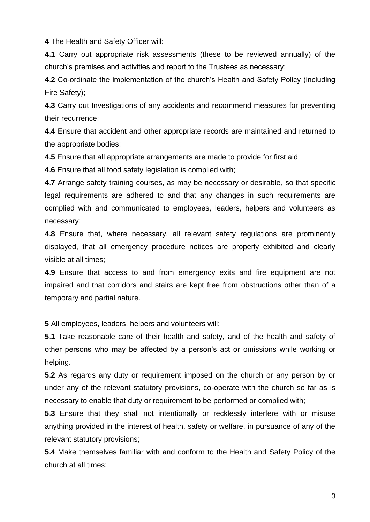**4** The Health and Safety Officer will:

**4.1** Carry out appropriate risk assessments (these to be reviewed annually) of the church's premises and activities and report to the Trustees as necessary;

**4.2** Co-ordinate the implementation of the church's Health and Safety Policy (including Fire Safety);

**4.3** Carry out Investigations of any accidents and recommend measures for preventing their recurrence;

**4.4** Ensure that accident and other appropriate records are maintained and returned to the appropriate bodies;

**4.5** Ensure that all appropriate arrangements are made to provide for first aid;

**4.6** Ensure that all food safety legislation is complied with;

**4.7** Arrange safety training courses, as may be necessary or desirable, so that specific legal requirements are adhered to and that any changes in such requirements are complied with and communicated to employees, leaders, helpers and volunteers as necessary;

**4.8** Ensure that, where necessary, all relevant safety regulations are prominently displayed, that all emergency procedure notices are properly exhibited and clearly visible at all times;

**4.9** Ensure that access to and from emergency exits and fire equipment are not impaired and that corridors and stairs are kept free from obstructions other than of a temporary and partial nature.

**5** All employees, leaders, helpers and volunteers will:

**5.1** Take reasonable care of their health and safety, and of the health and safety of other persons who may be affected by a person's act or omissions while working or helping.

**5.2** As regards any duty or requirement imposed on the church or any person by or under any of the relevant statutory provisions, co-operate with the church so far as is necessary to enable that duty or requirement to be performed or complied with;

**5.3** Ensure that they shall not intentionally or recklessly interfere with or misuse anything provided in the interest of health, safety or welfare, in pursuance of any of the relevant statutory provisions;

**5.4** Make themselves familiar with and conform to the Health and Safety Policy of the church at all times;